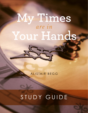# **My Times** *are in* **Your Hands**

### ALISTAIR BEGG

# S T U D Y G U I D E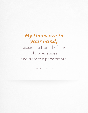# *My times are in your hand;*

rescue me from the hand of my enemies and from my persecutors!

Psalm 31:15 ESV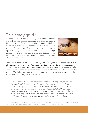# This study guide

contains twelve sessions that will help you discover a Biblical **Andrew Series are in the series by Alistair Beg** approach to life's deepest questions and lingering puzzles through a series of messages by Alistair Begg entitled  $My$ Times are in Your Hands. The messages in this series come from the Old and New Testaments and cover a range of topics from "why did God create a world in which bad things happen" to "why was Jesus willing to suffer so that bad people might be forgiven?" This study guide can be used for personal reflection or small groups. author and Bible teacher, was stair Begg en ges in this se and cover a rld in which l



Each session includes four parts: 1) *Getting Started* – a quote from the message with an introductory question; 2) Key Scriptures – key Bible verses referenced in the message; 3) Going Deeper – questions to help you process the main ideas of the message; and 4) Giving Praise – a poem or hymn that can be committed to memory and incorporated in worship. The following words in the opening message provide a great summary of the overall themes and purpose for this series:

"No one solves the problem of pain and evil and suffering by rejecting God. All that they do is then remove the possibility of providing a meaningful answer to the predicament. If there is no God who is wise and in control, then the events of life are purely happenstance…Without belief in God we can never be sure that anything has any ultimate purpose or meaning, not least of all our suffering…Christianity is not about how to escape from the difficulties of life, but it is about how to face the difficulties of life." - Alistair Begg

All Scripture quotations, unless otherwise indicated, are taken from *The Holy Bible, English Standard Version.* Copyright © 2000; 2001 by Crossway Bibles, a division of Good News Publishers. Used by permission. All rights reserved.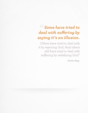# *Some have tried to deal with suffering by saying it's an illusion.*

Others have tried to deal with it by rejecting God. And others still have tried to deal with suffering by redefining God."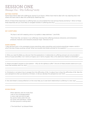### SESSION ONE Message One – Why Suffering? #2163

#### GETTING STARTED

Some have tried to deal with suffering by saying it's an illusion. Others have tried to deal with it by rejecting God. And others still have tried to deal with suffering by redefining God.

Which of these three responses to suffering have you encountered the most among friends and family? Which of these three responses are you more likely to navigate towards in suffering and why?

#### KEY SCRIPTURES

"My face is red with weeping, and on my eyelids is deep darkness." (Job 16:16)

"More than that, we rejoice in our sufferings, knowing that suffering produces endurance, and endurance produces character, and character produces hope." (Romans 5:3-4)

#### GOING DEEPER

1. *Why did God (who in His sovereignty knows everything, plans everything, and controls everything) create a world in which He knew things would go wrong?* What two answers did Alistair provide for this question?

2. *When you read the Bible you discover that the explanations in relationship to suffering and pain are not provided in terms of cause and effect; not in terms of origins, but in terms of goals.* Why is this distinction helpful to remember?

3. Alistair provided 5 answers to the question – *Why do the righteous suffer?* Did one of these answers stand out to you more than another, and if so, why?

4. *Christianity is not about how to escape from the difficulties of life; it is about how to face the difficulties of life.* Was this your perspective when you became a Christian, or did you develop this perspective over time?

5. How did Alistair's closing reflection on the cross help you to see God's relationship to suffering in a new way?

#### GIVING PRAISE

When darkness veils His lovely face I rest on His unchanging grace In every high and stormy gale My anchor holds within the veil On Christ, the solid Rock, I stand All other ground is sinking sand.

("The Solid Rock" by Edward Mote)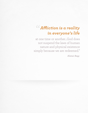# *Affliction is a reality in everyone's life*

at one time or another…God does not suspend the laws of human nature and physical existence simply because we are redeemed."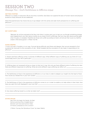### SESSION TWO Message Two – God's Faithfulness in Affliction #1949

#### GETTING STARTED

*Affliction is a reality in everyone's life at one time or another…God does not suspend the laws of human nature and physical existence simply because we are redeemed.*

What life experience(s) has (have) led you to go deeper with this series and seek God's perspective on suffering and affliction?

#### KEY SCRIPTURES

"Beloved, do not be surprised at the fiery trial when it comes upon you to test you, as though something strange were happening to you. But rejoice insofar as you share Christ's sufferings, that you may also rejoice and be glad when his glory is revealed…Therefore let those who suffer according to God's will entrust their souls to a faithful creator while doing good." (1 Peter 4:12-19)

#### GOING DEEPER

1. *If all is not well, if trouble is in our way, if we are facing difficulty and illness and despair, then we are tempted to find ourselves far more akin to the counselors of Job.* What mistakes did the counselors of Job make in responding to his affliction?

2. Alistair said that *suffering comes in all kinds of different ways.* What different ways of suffering can you think of in our world today and in your life in particular?

3. *Suffering does not necessarily bring us closer to God, but it may.* Not only are there different kinds of suffering, but also there are different responses to suffering. What are some different ways suffering can affect us?

4. *The faithfulness of God in the experience of affliction is in our lives in order to deepen our insight into the heart of God.*  How would you restate this in your own words?

5. *The faithfulness of God in the experience of affliction comes to us in order to enable us to help others in their trials.* How have you seen this truth displayed in your own life? \_\_\_\_\_\_\_\_\_\_\_\_\_\_\_\_\_\_\_\_\_\_\_\_\_\_\_

6. How does suffering reveal to us what we really love?

#### GIVING PRAISE

See, from His head, His hands, His feet, Sorrow and love flow mingled down: Did e'er such love and sorrow meet, Or thorns compose so rich a crown?

("When I Survey the Wondrous Cross" by Isaac Watts)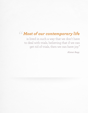# *Most of our contemporary life*

is lived in such a way that we don't have to deal with trials, believing that if we can get rid of trials, then we can have joy."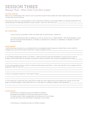### SESSION THREE Message Three – When Trials Come (Part 1) #2557

#### GETTING STARTED

Most of our contemporary life is lived in such a way that we don't have to deal with trials, believing that if we can get rid of trials, then we can have joy.

How have you seen our cultural obsession with convenience, efficiency, and comfort affect our attitude toward life? Are we becoming an increasingly thankful or joyful society - and if not, then why not?

#### KEY SCRIPTURES

"Count it all joy, my brothers, when you meet trials of various kinds." (James 1:2)

"You have received the Spirit of adoption as sons, by whom we cry, "Abba! Father!"…Who shall separate us from the love of Christ? Shall tribulation, or distress, or persecution, or famine, or nakedness, or danger, or sword?" (Romans 8:15-39)

#### GOING DEEPER

1. *God's Word was not given to us ultimately that our knowledge might increase, but rather that our lives might be changed.* How can the truth about trials here in James change your life?

2. J.B. Phillips paraphrased James 1:2 as follows - *When all kinds of trials and temptations crowd into your lives my brothers, don't resent them as intruders, but welcome them as friends!*<sup>1</sup> How would you paraphrase this verse?\_\_\_

3. *One of the greatest illusions in life is to look at another person and think, "I wish I was him/her."* Do you agree with this statement? Why or why not?

4. How is it possible to have joy in the midst of trials?

5. *If we were ever to admit the sorry mess that we really are, then maybe that would magnify the wonder of who God really is and draw people to God rather than to us.* How does our weakness magnify God's goodness?

#### GIVING PRAISE

God moves in a mysterious way, His wonders to perform; He plants His footsteps in the sea and rides upon the storm You fearful saints, fresh courage take; the clouds you so much dread Are big with mercy, and shall break in blessings on your head.

("God Moves in a Mysterious Way" by William Cowper)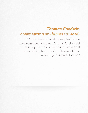## *Thomas Goodwin commenting on James 1:2 said,*

"This is the hardest duty required of the distressed hearts of men. And yet God would not require it if it were unattainable. God is not asking from us what He is unable or unwilling to provide for us." 2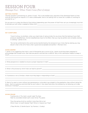### SESSION FOUR Message Four – When Trials Come (Part 2) #2559

#### GETTING STARTED

Thomas Goodwin commenting on James 1:2 said, "This is the hardest duty required of the distressed hearts of men. And yet God would not require it if it were unattainable. God is not asking from us what He is unable or unwilling to provide for us." <sup>2</sup>

Do you ever try to obey the Word of God without depending upon the power of God? How can you increasingly trust Him to provide you with what is needed to follow Him?

#### KEY SCRIPTURES

"Count it all joy, my brothers, when you meet trials of various kinds, for you know that the testing of your faith produces steadfastness. And let steadfastness have its full effect, that you may be perfect and complete, lacking in nothing." (James 1:2-4)

"Do not be conformed to this world, but be transformed by the renewal of your mind, that by testing you may discern what is the will of God, what is good and acceptable and perfect." (Romans 12:2)

#### GOING DEEPER

1. *James is not suggesting that trials in and of themselves are a source of joy…James would have been prepared to acknowledge that trouble hurts, that trials are painful, and that loss is difficult.* Why is this clarification helpful to keep in mind?

2. What *perspective* is needed to ensure a proper response in trials?

3. What is the *process* by which trials can lead to growth?

4. If someone is not a Christian, where must they begin in responding to God?

5. *Most of us want a crown without any perseverance...to be able to go straight to the graduation class without doing the study... God is so gracious and kind that he won't allow it.* How does God show His kindness by not allowing us to take shortcuts in holiness?

#### GIVING PRAISE

Trusting only in Thy merit, would I seek Thy face; Heal my wounded, broken spirit, save me by Thy grace.

Thou the spring of all my comfort, more than life to me! Whom have I on earth beside Thee? Whom in heaven but Thee?

("Pass Me Not, O Gentle Savior" by Frances J. Crosby)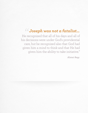# *Joseph was not a fatalist…*

He recognized that all of his days and all of his decisions were under God's providential care, but he recognized also that God had given him a mind to think and that He had given him the ability to take initiative."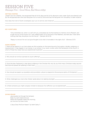### SESSION FIVE Message Five – Good News, Bad News #1859

#### GETTING STARTED

Joseph was not a fatalist…He recognized that all of his days and all of his decisions were under God's providential care, but he recognized also that God had given him a mind to think and that He had given him the ability to take initiative.

How does the truth of God's sovereignty spur you to activity and initiative?<br>
How does the truth of God's sovereignty spur you to activity and initiative?

#### KEY SCRIPTURES

"Only remember me, when it is well with you, and please do me the kindness to mention me to Pharaoh, and so get me out of this house. For I was indeed stolen out of the land of the Hebrews, and here also I have done nothing that they should put me into the pit." (Genesis 40:14-15)

"Repay no one evil for evil, but give thought to do what is honorable in the sight of all." (Romans 12:17)

#### GOING DEEPER

1. *There will be seasons in our lives where we find ourselves on the receiving end of accusation, slander, maligning, or imprisonment. It may happen in our homes, in our school, in our work, or even within the framework of the church.* In which of these four areas have you experienced injustices?

2. Why should we not be surprised at unjust suffering? \_\_\_\_\_\_\_\_\_\_\_\_

3. Since the New Testament is clear about suffering in the Christian life, why do you think many Christians today assume that God will prevent all suffering in their lives?

4. How should we expect our pluralistic and syncretistic culture to respond to the exclusive claims of Christianity?

5. What challenged you most when Alistair spoke about not seeking revenge?

6. Is there someone you might uniquely minister to because of an affliction you've experienced?

#### GIVING PRAISE

Jesus guide me through the tempest; Keep my spirit staid and sure. When the midnight meets the morning, Let me love You even more.

("Jesus Draw Me Ever Nearer" by Keith Getty 3)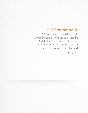# *'I cannot do it.'*

Those are four crucial words for anybody who ever wants to be used by God. In fact, these are the four most singular important words if you are ever going to be used by God!"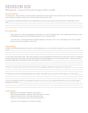### SESSION SIX Message Six – Lessons from the Dungeon (Part 1) #1861

#### GETTING STARTED

"I cannot do it." Those are four crucial words for anybody who ever wants to be used by God. In fact, these are the four most singular important words if you are ever going to be used by God!

In a culture that idolizes self-reliance and independence, how do you joyfully communicate your dependence upon God?

#### KEY SCRIPTURES

"They said to him, 'We have had dreams, and there is no one to interpret them.' And Joseph said to them, 'Do not interpretations belong to God? Please tell them to me.'" (Genesis 40:8)

"I am the vine; you are the branches. Whoever abides in me and I in him, he it is that bears much fruit, for apart from me you can do nothing." (John 15:5)

#### GOING DEEPER

1. What's the difference between living with a self-centered focus, a circumstance-centered focus, and a God-centered focus?

2. John Calvin said these words, "Man never achieves a clear knowledge of himself. He can never know who he is unless he has first looked upon God's face and then descends from contemplating Him to scrutinizing himself." <sup>4</sup> What conclusions do people make about themselves when they neglect to first know God?

3. Why is it critical to learn how to tell the truth without ambiguity, whether it's good news or bad news?

4. Although we are not interpreting dreams like Joseph, what bad news must we be truthful about in our own day?

5. Are you prepared to die? If you die before the day is over, will you go to heaven? What actions can you take today in preparing to die well?

#### GIVING PRAISE

Whenever I am tempted, whenever clouds arise, When songs give place to sighing, when hope within me dies, I draw the closer to Him, from care He sets me free; His eye is on the sparrow, and I know He watches me.

("His Eye is on the Sparrow" by Civillia D. Martin)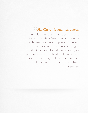# *As Christians we have*

no place for pessimism. We have no place for anxiety. We have no place for pride. And we have no place for defeat. For in the amazing understanding of who God is and what He is doing, we find that we are humbled and that we are secure, realizing that even our failures and our sins are under His control."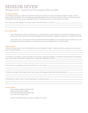# SESSION SEVEN

Message Seven – Lessons from the Dungeon (Part 2) #1862

#### GETTING STARTED

As Christians we have no place for pessimism. We have no place for anxiety. We have no place for pride. And we have no place for defeat. For in the amazing understanding of who God is and what He is doing, we find that we are humbled and that we are secure, realizing that even our failures and our sins are under His control.

How would your life change if you really lived by faith that God is in control?

#### KEY SCRIPTURES

"Only remember me, when it is well with you, and please do me the kindness to mention me to Pharaoh, and so get me out of this house…Yet the chief cupbearer did not remember Joseph, but forgot him." (Genesis 40:14; 23)

"Jesus said to her, 'I am the resurrection and the life. Whoever believes in me, though he die, yet shall he live, and everyone who lives and believes in me shall never die. Do you believe this?'" (John 11:25-26)

#### GOING DEEPER

1. What is the main way in which the Bible exhorts us to prepare for death – buying insurance, getting a will, reserving a plot, or something else?

2. *Christians, of all people, ought to be able to have parties, really good parties, not mediocre boring parties, but fantastic ones.* How should we be able to celebrate life in ways that unbelievers cannot?

3. Who else can we celebrate as we thank God for our own lives?

4. What can we learn from Joseph about how to deal with disappointment and unfulfilled hopes?

5. What does it mean to *rest* in God's faithfulness on a practical level?

#### GIVING PRAISE

Do thy friends despise, forsake thee? Take it to the Lord in prayer! In His arms He'll take and shield thee, Thou wilt find a solace there.

("What a Friend We Have in Jesus" by Joseph M. Scriven)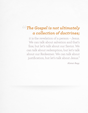## *The Gospel is not ultimately a collection of doctrines;*

it is the revelation of a person – Jesus. We can talk about salvation and that's fine, but let's talk about our Savior. We can talk about redemption, but let's talk about our Redeemer. We can talk about justification, but let's talk about Jesus."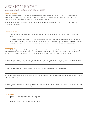### SESSION EIGHT Message Eight – Stilling Life's Storms #1529

#### GETTING STARTED

The Gospel is not ultimately a collection of doctrines; it is the revelation of a person – Jesus. We can talk about salvation and that's fine, but let's talk about our Savior. We can talk about redemption, but let's talk about our Redeemer. We can talk about justification, but let's talk about Jesus.

How do you keep Jesus in the focus of your mind and in your presentations of the Gospel, so as to not allow your faith to become too abstract?

#### KEY SCRIPTURES

"And they were filled with great fear and said to one another, 'Who then is this, that even wind and sea obey him?'" (Mark 4:41)

"He is the image of the invisible God, the firstborn of all creation. For by him all things were created, in heaven and on earth, visible and invisible, whether thrones or dominions or rulers or authorities – all things were created through him and for him. And he is before all things, and in him all things hold together." (Colossians 1:15-17)

#### GOING DEEPER

1. *Jesus had a body like ours; that's why he got thirsty, that's why he was hungry, that's why he got tired, and that's why he can express sympathy. If he did not know fear, if he did not know fatigue…how in the world could He ever be the one to whom we run today in difficulties?* How should the humanity of Jesus affect your relationship with Him?

2. *We want God to tolerate our flaws, and He wants us to tolerate the flaws of one another.* Why is it helpful to remember that even within the body of Christ we will experience fear, doubt, and flaws in one another?  $\_\_$ 

3. What practical application did Alistair give in reflecting on Jesus' tenderness with the disciples?

4. The manifestation of the power of Jesus created fear and wonder. Have you ever once in your life fallen before Christ in fear and in wonder?

5. Jesus is a living Christ, a realistic Savior, a genuine Friend, and an unchanging Companion. Is there someone whom you can introduce Jesus to in the next few days?

#### GIVING PRAISE

Be still, my soul; the waves and wind still know His voice who ruled them while he dwelt below.

("Be Still My Soul" by Katharina A. von Schlegel)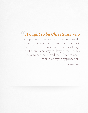# *It ought to be Christians who*

are prepared to do what the secular world is unprepared to do; and that is to look death full in the face and to acknowledge that there is no way to deny it, there is no way to escape it, and therefore we need to find a way to approach it."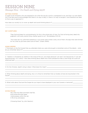### SESSION NINE Message Nine – On Death and Dying #2576

#### GETTING STARTED

It ought to be Christians who are prepared to do what the secular world is unprepared to do; and that is to look death full in the face and to acknowledge that there is no way to deny it, there is no way to escape it, and therefore we need to find a way to approach it.

How does our society try to cover up death and avoid thinking about it?

#### KEY SCRIPTURES

"Fear God and keep his commandments, for this is the whole duty of man. For God will bring every deed into judgment, with every secret thing, whether good or evil." (Ecclesiastes 12:13-14)

"Your eyes saw my unformed substance; in your book were written, every one of them, the days that were formed for me, when as yet there were none of them." (Psalm 139:16)

#### GOING DEEPER

1. Think back on the first funeral that you attended where you were old enough to remember some of the details – what do you remember about it?

2. *"I believe in Christianity as I believe in the rising of the sun, not simply because I can see it, but because by it I can see everything else" (C.S. Lewis)*<sup>5</sup>*.* How does thinking about death from God's perspective help us see things we could not otherwise see?

3. *For the Christian, death's sting is drawn.* What does this mean?

4. When thinking about death and dying, why is it critical to remember that our bodies will also be resurrected in the future?

5. What truths about God and the Gospel do you hope to have displayed in your own funeral or memorial?

#### GIVING PRAISE

Yea, when this flesh and heart shall fail, And mortal life shall cease, I shall possess within the veil, A life of joy and peace.

("Amazing Grace" by John Newton)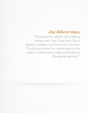### *Jay Adams says,*

"Grief may be called a life-shaking sorrow over loss. Grief tears life to shreds; it shakes one from top to bottom. It pulls him loose; he comes apart at the seams. Grief is truly nothing less than a life-shattering loss."<sup>6</sup>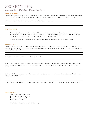### SESSION TEN Message Ten – Christians Grieve Too #1808

#### GETTING STARTED

Jay Adams says, "Grief may be called a life-shaking sorrow over loss. Grief tears life to shreds; it shakes one from top to bottom. It pulls him loose; he comes apart at the seams. Grief is truly nothing less than a life-shattering loss."<sup>6</sup>

What events can cause grief in our lives other than the death of a loved one?

#### KEY SCRIPTURES

"But we do not want you to be uninformed, brothers, about those who are asleep, that you may not grieve as others do who have no hope. For since we believe that Jesus died and rose again, even so, through Jesus, God will bring with him those who have fallen asleep." (1 Thessalonians 4:13-14)

"He was despised and rejected by men; a man of sorrows, and acquainted with grief." (Isaiah 53:3a)

#### GOING DEEPER

1. Paul addresses the readers as brothers and speaks of some as "the rest" and this *is the distinction between faith and unbelief, between life and death, hope and hopelessness, rock and sand, broad and narrow, and light and darkness.* What accounts for this distinction?

2. Why is *cemetery* an appropriate word for a graveyard?

3. *Paul could not regard death as something better (far better) unless he understood it to bring him into a closer, richer,*  fuller experience of Jesus then he had ever known on earth. How do we see this truth also displayed by the thief on the cross?

4. *The fact that our loved ones are with the Lord lightens, but does not remove the experience of loss and loneliness.* How should Christians grieve?

5. How should Isaiah's description of Jesus as a "man of sorrows, acquainted with grief" affect our approach to grieving?

#### GIVING PRAISE

"Man of Sorrows," what a name For the Son of God who came Ruined sinners to reclaim! Hallelujah! What a Savior!

("Hallelujah, What a Savior" by Philip P. Bliss)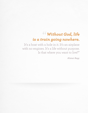# *Without God, life is a train going nowhere.*

It's a boat with a hole in it. It's an airplane with no engines. It's a life without purpose. Is that where you want to live?"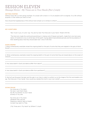### SESSION ELEVEN Message Eleven – My Times are in Your Hands (Part 1) #1975

#### GETTING STARTED

Without God, life is a train going nowhere. It's a boat with a hole in it. It's an airplane with no engines. It's a life without purpose. Is that where you want to live?

How should the hopelessness of life without God compel us to witness to others?

#### KEY SCRIPTURES

"But I trust in you, O Lord; I say, 'You are my God.' My times are in your hand." (Psalm 31:14-15)

"The God who made the world and everything in it, being Lord of heaven and earth…made from one man every nation of mankind to live on all the face of the earth, having determined allotted periods and the boundaries of their dwelling place, that they should seek God." (Acts 17:24-27a)

#### GOING DEEPER

1. What contemporary examples reveal the ongoing belief on the part of some that they are trapped in the grip of blind forces?

2. What contemporary examples reveal the ongoing belief on the part of some that they are tossed about on the ocean of chance?

3. How does belief in God's providence differ from deism?

4. How does belief in God's providence differ from pantheism?

5. *God will use the good, the bad, and the ugly in our lives in order to conform us to the image of His Son and enable us to say, 'My times are in Your hands.'* How would you restate this truth in your own words?

#### GIVING PRAISE

My times are in Thy hand; My God, I wish them there; My life, my friends, my soul I leave Entirely to Thy care.

My times are in Thy hand; Whatever they may be; Pleasing or painful, dark or bright, As best may seem to Thee.

("My Times are in Thy Hand" by William F. Lloyd)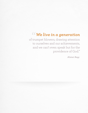# *We live in a generation*

of trumpet blowers, drawing attention to ourselves and our achievements, and we can't even speak but for the providence of God."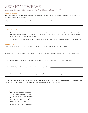### SESSION TWELVE Message Twelve – My Times are in Your Hands (Part 2) #1976

#### GETTING STARTED

We live in a generation of trumpet blowers, drawing attention to ourselves and our achievements, and we can't even speak but for the providence of God.

Why is it so easy at times to forget just how dependent we are upon God?

#### KEY SCRIPTURES

"For you are my rock and my fortress; and for your name's sake you lead me and guide me; you take me out of the net they have hidden for me, for you are my refuge. Into your hand I commit my spirit; you have redeemed me, O Lord, faithful God." (Psalm 31:3-5)

"So neither he who plants nor he who waters is anything, but only God who gives the growth." (1 Corinthians 3:7)

#### GOING DEEPER

1. Why should prosperity not be an occasion for pride for those who believe in God's providence?

2. *The Puritans said providence is a soft pillow for anxious heads.* How would you restate this truth in your own words?

3. Why should adversity not become an occasion for self-pity for those who believe in God's providence?

4. Which Biblical example of this truth stood out most to you and why?

5. Does the truth of God's providence remove responsibility from us? And if not, then why not?

| 6. From the story of Corrie Ten Boom, "And I learned in that lesson that God gives you the ticket on the day you make the |  |
|---------------------------------------------------------------------------------------------------------------------------|--|
| journey." How does this help you picture what it means to walk by faith and not by sight?                                 |  |

#### GIVING PRAISE

His oath, his covenant, his blood Support me in the whelming flood. When all around my soul gives way, He then is all my hope and stay. On Christ the solid rock I stand, All other ground is sinking sand.

("The Solid Rock" by Edward Mote)